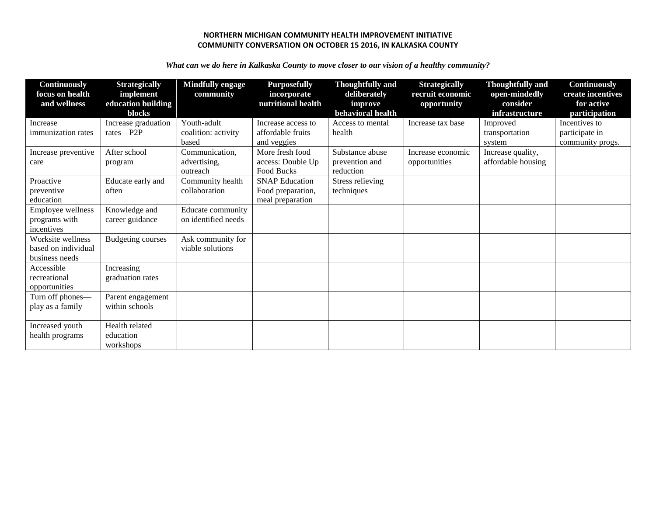## **NORTHERN MICHIGAN COMMUNITY HEALTH IMPROVEMENT INITIATIVE COMMUNITY CONVERSATION ON OCTOBER 15 2016, IN KALKASKA COUNTY**

*What can we do here in Kalkaska County to move closer to our vision of a healthy community?* 

| <b>Continuously</b><br>focus on health<br>and wellness     | <b>Strategically</b><br>implement<br>education building<br>blocks | <b>Mindfully engage</b><br>community        | <b>Purposefully</b><br>incorporate<br>nutritional health       | <b>Thoughtfully and</b><br>deliberately<br>improve<br>behavioral health | <b>Strategically</b><br>recruit economic<br>opportunity | <b>Thoughtfully</b> and<br>open-mindedly<br>consider<br>infrastructure | <b>Continuously</b><br>create incentives<br>for active<br>participation |
|------------------------------------------------------------|-------------------------------------------------------------------|---------------------------------------------|----------------------------------------------------------------|-------------------------------------------------------------------------|---------------------------------------------------------|------------------------------------------------------------------------|-------------------------------------------------------------------------|
| Increase<br>immunization rates                             | Increase graduation<br>rates-P2P                                  | Youth-adult<br>coalition: activity<br>based | Increase access to<br>affordable fruits<br>and veggies         | Access to mental<br>health                                              | Increase tax base                                       | Improved<br>transportation<br>system                                   | Incentives to<br>participate in<br>community progs.                     |
| Increase preventive<br>care                                | After school<br>program                                           | Communication,<br>advertising,<br>outreach  | More fresh food<br>access: Double Up<br>Food Bucks             | Substance abuse<br>prevention and<br>reduction                          | Increase economic<br>opportunities                      | Increase quality,<br>affordable housing                                |                                                                         |
| Proactive<br>preventive<br>education                       | Educate early and<br>often                                        | Community health<br>collaboration           | <b>SNAP Education</b><br>Food preparation,<br>meal preparation | Stress relieving<br>techniques                                          |                                                         |                                                                        |                                                                         |
| Employee wellness<br>programs with<br>incentives           | Knowledge and<br>career guidance                                  | Educate community<br>on identified needs    |                                                                |                                                                         |                                                         |                                                                        |                                                                         |
| Worksite wellness<br>based on individual<br>business needs | <b>Budgeting courses</b>                                          | Ask community for<br>viable solutions       |                                                                |                                                                         |                                                         |                                                                        |                                                                         |
| Accessible<br>recreational<br>opportunities                | Increasing<br>graduation rates                                    |                                             |                                                                |                                                                         |                                                         |                                                                        |                                                                         |
| Turn off phones-<br>play as a family                       | Parent engagement<br>within schools                               |                                             |                                                                |                                                                         |                                                         |                                                                        |                                                                         |
| Increased youth<br>health programs                         | Health related<br>education<br>workshops                          |                                             |                                                                |                                                                         |                                                         |                                                                        |                                                                         |